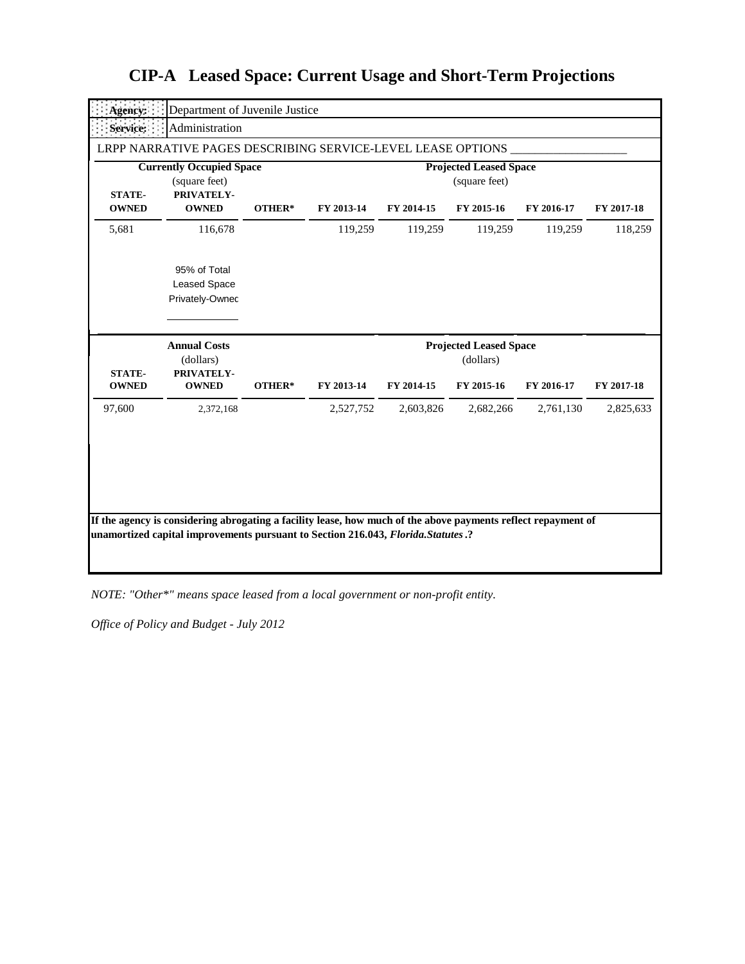| Agency:                                                                         | Department of Juvenile Justice                              |        |                                                |            |                               |            |            |  |
|---------------------------------------------------------------------------------|-------------------------------------------------------------|--------|------------------------------------------------|------------|-------------------------------|------------|------------|--|
| Service:                                                                        | Administration                                              |        |                                                |            |                               |            |            |  |
|                                                                                 | LRPP NARRATIVE PAGES DESCRIBING SERVICE-LEVEL LEASE OPTIONS |        |                                                |            |                               |            |            |  |
| <b>Currently Occupied Space</b><br>(square feet)<br>PRIVATELY-<br><b>STATE-</b> |                                                             |        | <b>Projected Leased Space</b><br>(square feet) |            |                               |            |            |  |
| <b>OWNED</b>                                                                    | <b>OWNED</b>                                                | OTHER* | FY 2013-14                                     | FY 2014-15 | FY 2015-16                    | FY 2016-17 | FY 2017-18 |  |
| 5,681                                                                           | 116,678                                                     |        | 119,259                                        | 119,259    | 119,259                       | 119,259    | 118,259    |  |
|                                                                                 | 95% of Total<br><b>Leased Space</b><br>Privately-Ownec      |        |                                                |            |                               |            |            |  |
|                                                                                 |                                                             |        |                                                |            | <b>Projected Leased Space</b> |            |            |  |
|                                                                                 | <b>Annual Costs</b>                                         |        |                                                |            |                               |            |            |  |
| <b>STATE-</b><br><b>OWNED</b>                                                   | (dollars)<br>PRIVATELY-<br><b>OWNED</b>                     | OTHER* | FY 2013-14                                     | FY 2014-15 | (dollars)<br>FY 2015-16       | FY 2016-17 | FY 2017-18 |  |
| 97,600                                                                          | 2,372,168                                                   |        | 2,527,752                                      | 2,603,826  | 2,682,266                     | 2,761,130  | 2,825,633  |  |

*NOTE: "Other\*" means space leased from a local government or non-profit entity.*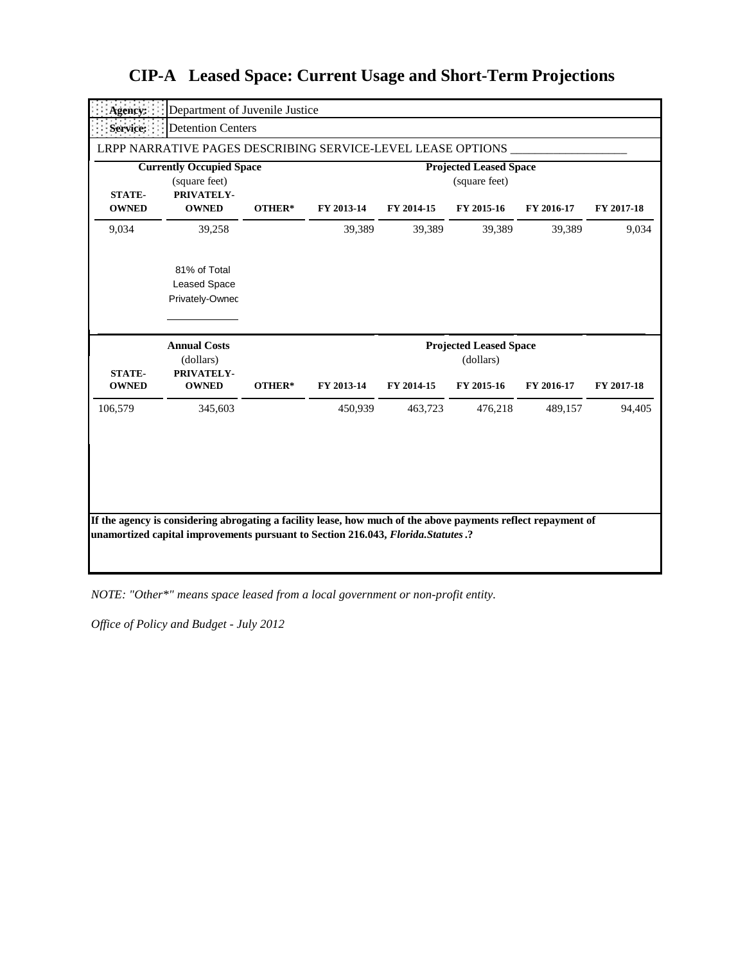| Agency:                                                                         | Department of Juvenile Justice                                 |        |                                                |            |                                                          |            |            |  |
|---------------------------------------------------------------------------------|----------------------------------------------------------------|--------|------------------------------------------------|------------|----------------------------------------------------------|------------|------------|--|
| Service:                                                                        | <b>Detention Centers</b>                                       |        |                                                |            |                                                          |            |            |  |
|                                                                                 | LRPP NARRATIVE PAGES DESCRIBING SERVICE-LEVEL LEASE OPTIONS    |        |                                                |            |                                                          |            |            |  |
| <b>Currently Occupied Space</b><br>(square feet)<br>PRIVATELY-<br><b>STATE-</b> |                                                                |        | <b>Projected Leased Space</b><br>(square feet) |            |                                                          |            |            |  |
| <b>OWNED</b>                                                                    | <b>OWNED</b>                                                   | OTHER* | FY 2013-14                                     | FY 2014-15 | FY 2015-16                                               | FY 2016-17 | FY 2017-18 |  |
| 9,034                                                                           | 39,258                                                         |        | 39,389                                         | 39,389     | 39,389                                                   | 39,389     | 9,034      |  |
|                                                                                 | 81% of Total<br><b>Leased Space</b><br>Privately-Ownec         |        |                                                |            |                                                          |            |            |  |
|                                                                                 |                                                                |        |                                                |            |                                                          |            |            |  |
| <b>STATE-</b><br><b>OWNED</b>                                                   | <b>Annual Costs</b><br>(dollars)<br>PRIVATELY-<br><b>OWNED</b> | OTHER* | FY 2013-14                                     | FY 2014-15 | <b>Projected Leased Space</b><br>(dollars)<br>FY 2015-16 | FY 2016-17 | FY 2017-18 |  |
| 106,579                                                                         | 345,603                                                        |        | 450,939                                        | 463,723    | 476,218                                                  | 489,157    | 94,405     |  |

*NOTE: "Other\*" means space leased from a local government or non-profit entity.*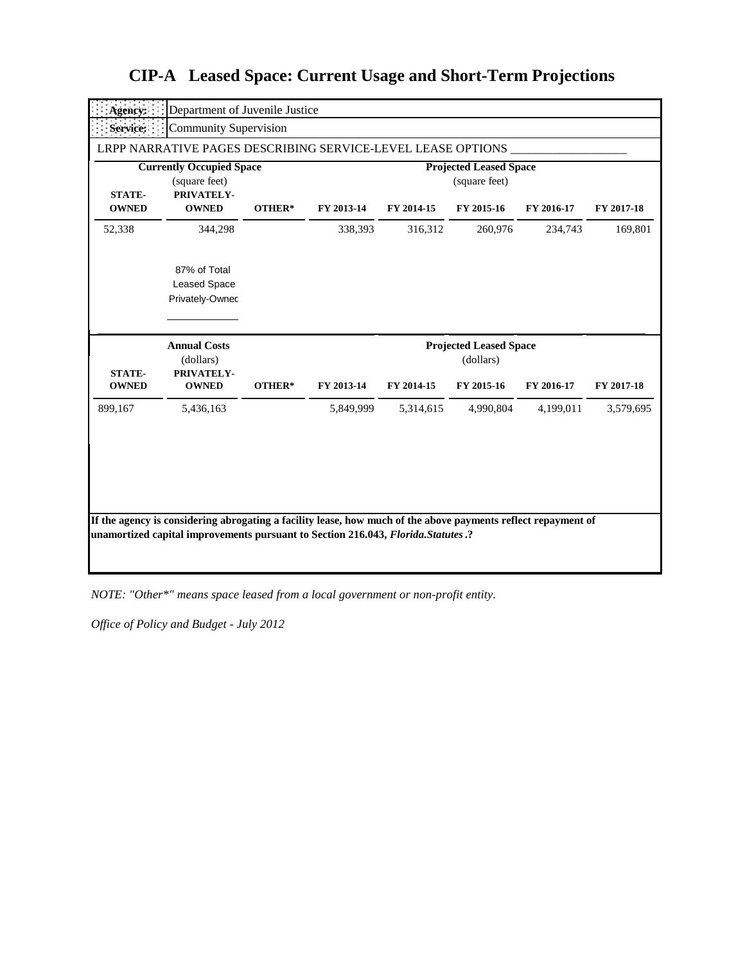| Agency:                                                                         | Department of Juvenile Justice                              |        |                                                |            |                               |            |            |  |
|---------------------------------------------------------------------------------|-------------------------------------------------------------|--------|------------------------------------------------|------------|-------------------------------|------------|------------|--|
| Service:                                                                        | <b>Community Supervision</b>                                |        |                                                |            |                               |            |            |  |
|                                                                                 | LRPP NARRATIVE PAGES DESCRIBING SERVICE-LEVEL LEASE OPTIONS |        |                                                |            |                               |            |            |  |
| <b>Currently Occupied Space</b><br>(square feet)<br>PRIVATELY-<br><b>STATE-</b> |                                                             |        | <b>Projected Leased Space</b><br>(square feet) |            |                               |            |            |  |
| <b>OWNED</b>                                                                    | <b>OWNED</b>                                                | OTHER* | FY 2013-14                                     | FY 2014-15 | FY 2015-16                    | FY 2016-17 | FY 2017-18 |  |
| 52,338                                                                          | 344,298                                                     |        | 338,393                                        | 316,312    | 260,976                       | 234,743    | 169,801    |  |
|                                                                                 | 87% of Total<br><b>Leased Space</b><br>Privately-Ownec      |        |                                                |            |                               |            |            |  |
|                                                                                 |                                                             |        |                                                |            |                               |            |            |  |
|                                                                                 | <b>Annual Costs</b>                                         |        |                                                |            | <b>Projected Leased Space</b> |            |            |  |
| <b>STATE-</b><br><b>OWNED</b>                                                   | (dollars)<br>PRIVATELY-<br><b>OWNED</b>                     | OTHER* | FY 2013-14                                     | FY 2014-15 | (dollars)<br>FY 2015-16       | FY 2016-17 | FY 2017-18 |  |
| 899,167                                                                         | 5,436,163                                                   |        | 5,849,999                                      | 5,314,615  | 4,990,804                     | 4,199,011  | 3,579,695  |  |

*NOTE: "Other\*" means space leased from a local government or non-profit entity.*